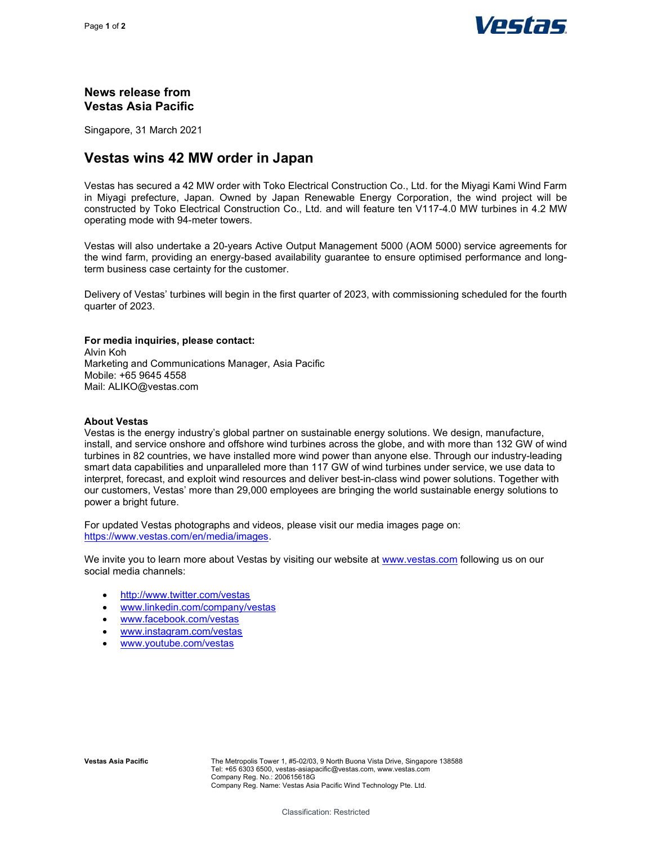

## News release from Vestas Asia Pacific

Singapore, 31 March 2021

# Vestas wins 42 MW order in Japan

Vestas has secured a 42 MW order with Toko Electrical Construction Co., Ltd. for the Miyagi Kami Wind Farm in Miyagi prefecture, Japan. Owned by Japan Renewable Energy Corporation, the wind project will be constructed by Toko Electrical Construction Co., Ltd. and will feature ten V117-4.0 MW turbines in 4.2 MW operating mode with 94-meter towers.

Vestas will also undertake a 20-years Active Output Management 5000 (AOM 5000) service agreements for the wind farm, providing an energy-based availability guarantee to ensure optimised performance and longterm business case certainty for the customer.

Delivery of Vestas' turbines will begin in the first quarter of 2023, with commissioning scheduled for the fourth quarter of 2023.

#### For media inquiries, please contact:

Alvin Koh Marketing and Communications Manager, Asia Pacific Mobile: +65 9645 4558 Mail: ALIKO@vestas.com

#### About Vestas

Vestas is the energy industry's global partner on sustainable energy solutions. We design, manufacture, install, and service onshore and offshore wind turbines across the globe, and with more than 132 GW of wind turbines in 82 countries, we have installed more wind power than anyone else. Through our industry-leading smart data capabilities and unparalleled more than 117 GW of wind turbines under service, we use data to interpret, forecast, and exploit wind resources and deliver best-in-class wind power solutions. Together with our customers, Vestas' more than 29,000 employees are bringing the world sustainable energy solutions to power a bright future.

For updated Vestas photographs and videos, please visit our media images page on: https://www.vestas.com/en/media/images.

We invite you to learn more about Vestas by visiting our website at www.vestas.com following us on our social media channels:

- http://www.twitter.com/vestas
- www.linkedin.com/company/vestas
- www.facebook.com/vestas
- www.instagram.com/vestas
- www.youtube.com/vestas